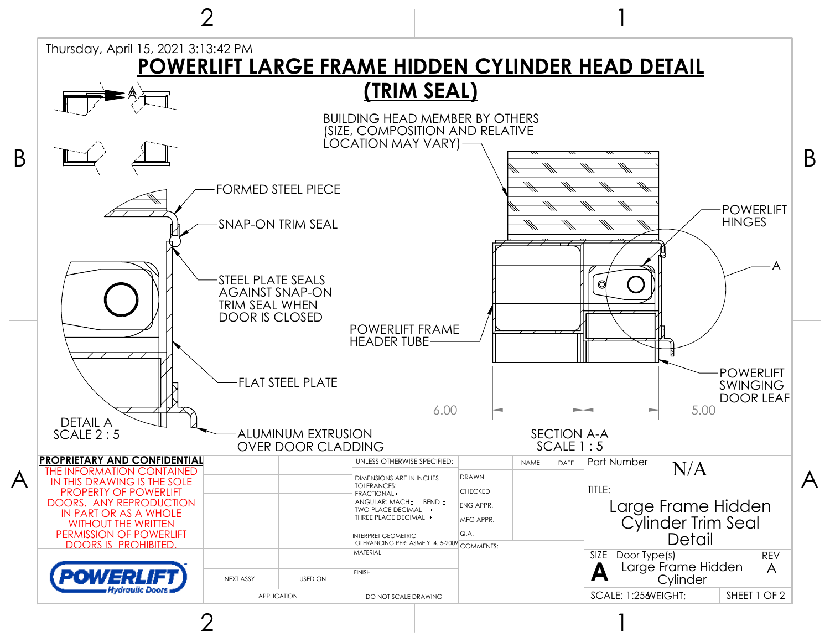

2